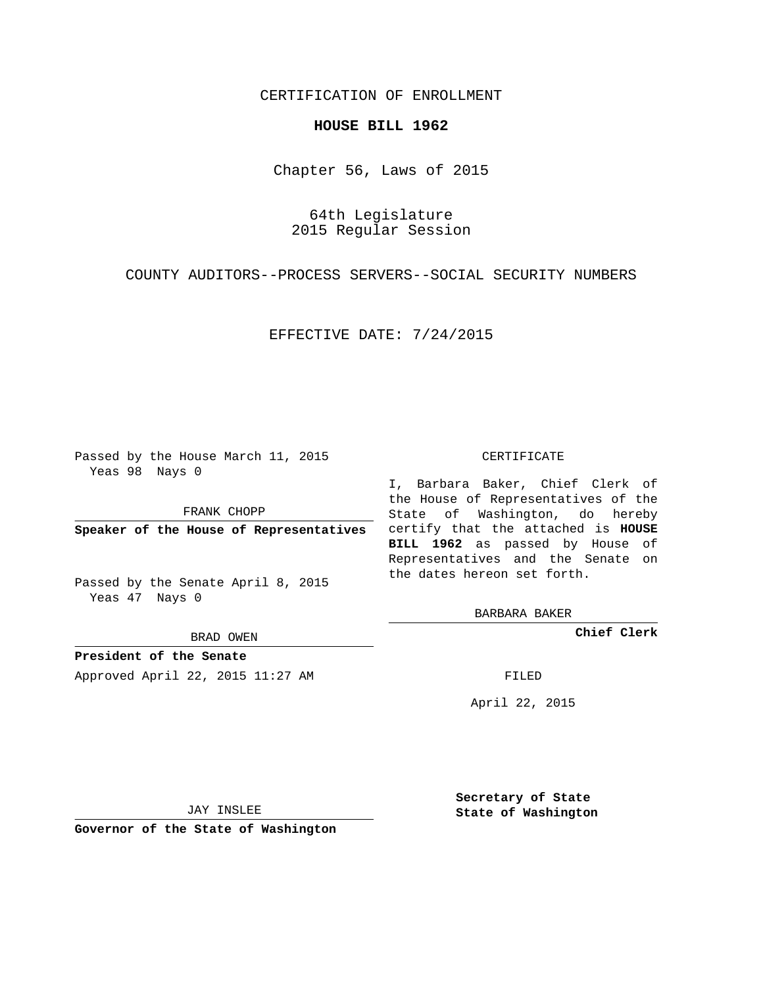# CERTIFICATION OF ENROLLMENT

## **HOUSE BILL 1962**

Chapter 56, Laws of 2015

64th Legislature 2015 Regular Session

COUNTY AUDITORS--PROCESS SERVERS--SOCIAL SECURITY NUMBERS

EFFECTIVE DATE: 7/24/2015

Passed by the House March 11, 2015 Yeas 98 Nays 0

FRANK CHOPP

Passed by the Senate April 8, 2015 Yeas 47 Nays 0

BRAD OWEN

**President of the Senate**

Approved April 22, 2015 11:27 AM FILED

#### CERTIFICATE

**Speaker of the House of Representatives** certify that the attached is **HOUSE** I, Barbara Baker, Chief Clerk of the House of Representatives of the State of Washington, do hereby **BILL 1962** as passed by House of Representatives and the Senate on the dates hereon set forth.

BARBARA BAKER

**Chief Clerk**

April 22, 2015

JAY INSLEE

**Governor of the State of Washington**

**Secretary of State State of Washington**